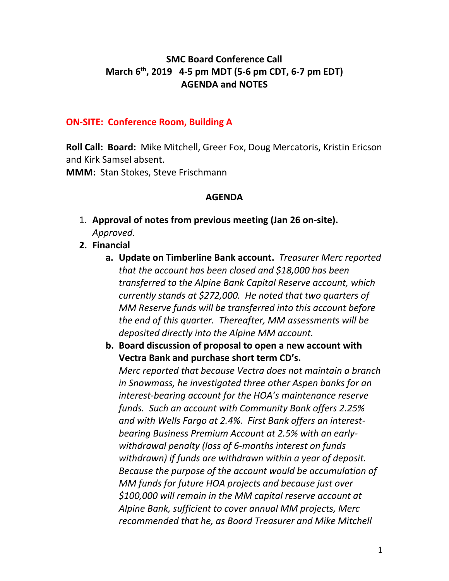## **SMC Board Conference Call March 6th, 2019 4-5 pm MDT (5-6 pm CDT, 6-7 pm EDT) AGENDA and NOTES**

#### **ON-SITE: Conference Room, Building A**

**Roll Call: Board:** Mike Mitchell, Greer Fox, Doug Mercatoris, Kristin Ericson and Kirk Samsel absent.

**MMM:** Stan Stokes, Steve Frischmann

#### **AGENDA**

- 1. **Approval of notes from previous meeting (Jan 26 on-site).** *Approved.*
- **2. Financial** 
	- **a. Update on Timberline Bank account.** *Treasurer Merc reported that the account has been closed and \$18,000 has been transferred to the Alpine Bank Capital Reserve account, which currently stands at \$272,000. He noted that two quarters of MM Reserve funds will be transferred into this account before the end of this quarter. Thereafter, MM assessments will be deposited directly into the Alpine MM account.*
	- **b. Board discussion of proposal to open a new account with Vectra Bank and purchase short term CD's.**

*Merc reported that because Vectra does not maintain a branch in Snowmass, he investigated three other Aspen banks for an interest-bearing account for the HOA's maintenance reserve funds. Such an account with Community Bank offers 2.25% and with Wells Fargo at 2.4%. First Bank offers an interestbearing Business Premium Account at 2.5% with an earlywithdrawal penalty (loss of 6-months interest on funds withdrawn) if funds are withdrawn within a year of deposit. Because the purpose of the account would be accumulation of MM funds for future HOA projects and because just over \$100,000 will remain in the MM capital reserve account at Alpine Bank, sufficient to cover annual MM projects, Merc recommended that he, as Board Treasurer and Mike Mitchell*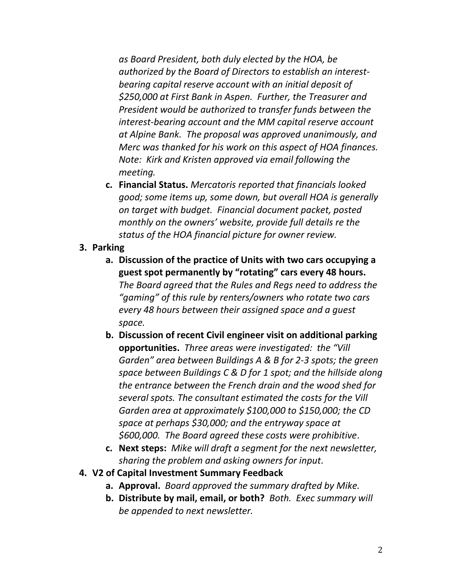*as Board President, both duly elected by the HOA, be authorized by the Board of Directors to establish an interestbearing capital reserve account with an initial deposit of \$250,000 at First Bank in Aspen. Further, the Treasurer and President would be authorized to transfer funds between the interest-bearing account and the MM capital reserve account at Alpine Bank. The proposal was approved unanimously, and Merc was thanked for his work on this aspect of HOA finances. Note: Kirk and Kristen approved via email following the meeting.*

**c. Financial Status.** *Mercatoris reported that financials looked good; some items up, some down, but overall HOA is generally on target with budget. Financial document packet, posted monthly on the owners' website, provide full details re the status of the HOA financial picture for owner review.*

### **3. Parking**

- **a. Discussion of the practice of Units with two cars occupying a guest spot permanently by "rotating" cars every 48 hours.** *The Board agreed that the Rules and Regs need to address the "gaming" of this rule by renters/owners who rotate two cars every 48 hours between their assigned space and a guest space.*
- **b. Discussion of recent Civil engineer visit on additional parking opportunities.** *Three areas were investigated: the "Vill Garden" area between Buildings A & B for 2-3 spots; the green space between Buildings C & D for 1 spot; and the hillside along the entrance between the French drain and the wood shed for several spots. The consultant estimated the costs for the Vill Garden area at approximately \$100,000 to \$150,000; the CD space at perhaps \$30,000; and the entryway space at \$600,000. The Board agreed these costs were prohibitive*.
- **c. Next steps:** *Mike will draft a segment for the next newsletter, sharing the problem and asking owners for input*.
- **4. V2 of Capital Investment Summary Feedback**
	- **a. Approval.** *Board approved the summary drafted by Mike.*
	- **b. Distribute by mail, email, or both?** *Both. Exec summary will be appended to next newsletter.*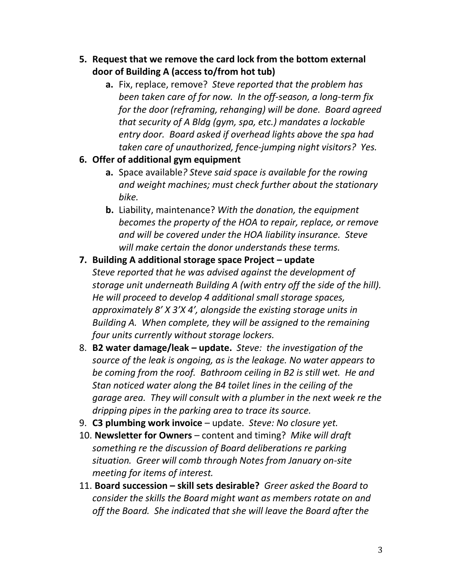- **5. Request that we remove the card lock from the bottom external door of Building A (access to/from hot tub)**
	- **a.** Fix, replace, remove? *Steve reported that the problem has been taken care of for now. In the off-season, a long-term fix for the door (reframing, rehanging) will be done. Board agreed that security of A Bldg (gym, spa, etc.) mandates a lockable entry door. Board asked if overhead lights above the spa had taken care of unauthorized, fence-jumping night visitors? Yes.*

### **6. Offer of additional gym equipment**

- **a.** Space available*? Steve said space is available for the rowing and weight machines; must check further about the stationary bike.*
- **b.** Liability, maintenance? *With the donation, the equipment becomes the property of the HOA to repair, replace, or remove and will be covered under the HOA liability insurance. Steve will make certain the donor understands these terms.*

# **7. Building A additional storage space Project – update** *Steve reported that he was advised against the development of storage unit underneath Building A (with entry off the side of the hill). He will proceed to develop 4 additional small storage spaces, approximately 8' X 3'X 4', alongside the existing storage units in Building A. When complete, they will be assigned to the remaining four units currently without storage lockers.*

- 8. **B2 water damage/leak – update.** *Steve: the investigation of the source of the leak is ongoing, as is the leakage. No water appears to be coming from the roof. Bathroom ceiling in B2 is still wet. He and Stan noticed water along the B4 toilet lines in the ceiling of the garage area. They will consult with a plumber in the next week re the dripping pipes in the parking area to trace its source.*
- 9. **C3 plumbing work invoice** update. *Steve: No closure yet.*
- 10. **Newsletter for Owners** content and timing? *Mike will draft something re the discussion of Board deliberations re parking situation. Greer will comb through Notes from January on-site meeting for items of interest.*
- 11. **Board succession – skill sets desirable?** *Greer asked the Board to consider the skills the Board might want as members rotate on and off the Board. She indicated that she will leave the Board after the*